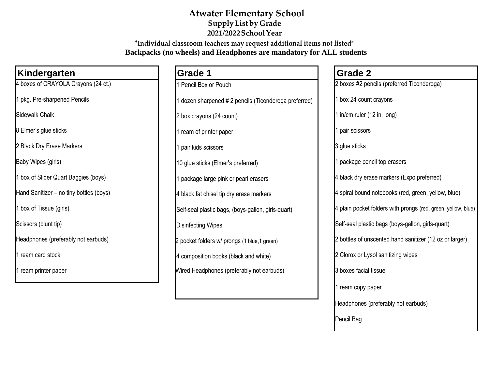## **Atwater Elementary School SupplyListby Grade 2021/2022SchoolYear**

**\*Individual classroom teachers may request additional items not listed\* Backpacks (no wheels) and Headphones are mandatory for ALL students**

| Kindergarten                            | <b>Grade 1</b>                                        | <b>Grade 2</b>                                                |
|-----------------------------------------|-------------------------------------------------------|---------------------------------------------------------------|
| 4 boxes of CRAYOLA Crayons (24 ct.)     | 1 Pencil Box or Pouch                                 | 2 boxes #2 pencils (preferred Ticonderoga)                    |
| 1 pkg. Pre-sharpened Pencils            | 1 dozen sharpened # 2 pencils (Ticonderoga preferred) | 1 box 24 count crayons                                        |
| Sidewalk Chalk                          | 2 box crayons (24 count)                              | 1 in/cm ruler (12 in. long)                                   |
| 8 Elmer's glue sticks                   | 1 ream of printer paper                               | pair scissors                                                 |
| 2 Black Dry Erase Markers               | 1 pair kids scissors                                  | 3 glue sticks                                                 |
| Baby Wipes (girls)                      | 10 glue sticks (Elmer's preferred)                    | package pencil top erasers                                    |
| 1 box of Slider Quart Baggies (boys)    | 1 package large pink or pearl erasers                 | 4 black dry erase markers (Expo preferred)                    |
| Hand Sanitizer - no tiny bottles (boys) | 4 black fat chisel tip dry erase markers              | 4 spiral bound notebooks (red, green, yellow, blue)           |
| 1 box of Tissue (girls)                 | Self-seal plastic bags, (boys-gallon, girls-quart)    | 4 plain pocket folders with prongs (red, green, yellow, blue) |
| Scissors (blunt tip)                    | <b>Disinfecting Wipes</b>                             | Self-seal plastic bags (boys-gallon, girls-quart)             |
| Headphones (preferably not earbuds)     | 2 pocket folders w/ prongs (1 blue,1 green)           | 2 bottles of unscented hand sanitizer (12 oz or larger)       |
| 1 ream card stock                       | 4 composition books (black and white)                 | 2 Clorox or Lysol sanitizing wipes                            |
| 1 ream printer paper                    | Wired Headphones (preferably not earbuds)             | 3 boxes facial tissue                                         |
|                                         |                                                       | l ream copy paper                                             |

Headphones (preferably not earbuds)

Pencil Bag